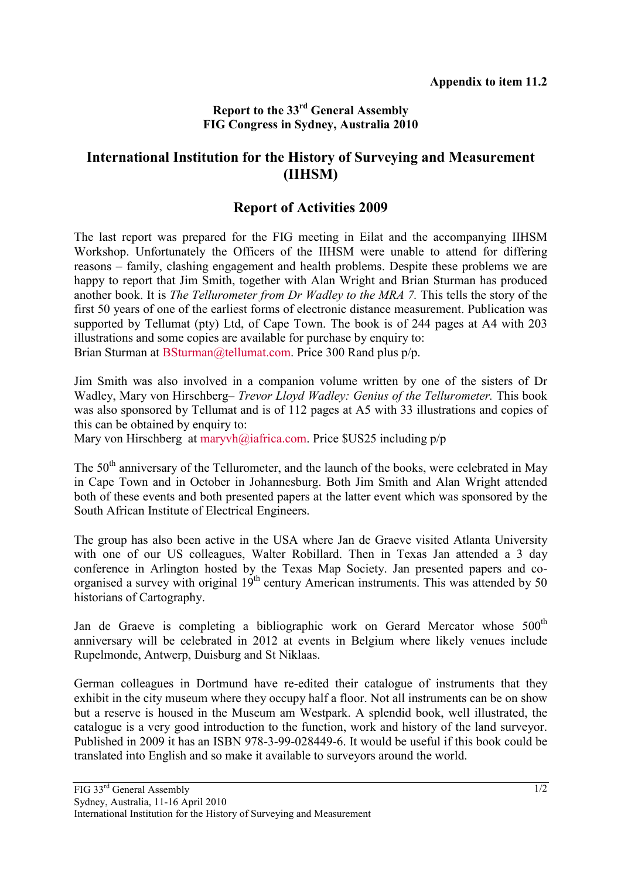## **Report to the 33rd General Assembly FIG Congress in Sydney, Australia 2010**

## **International Institution for the History of Surveying and Measurement (IIHSM)**

## **Report of Activities 2009**

The last report was prepared for the FIG meeting in Eilat and the accompanying IIHSM Workshop. Unfortunately the Officers of the IIHSM were unable to attend for differing reasons – family, clashing engagement and health problems. Despite these problems we are happy to report that Jim Smith, together with Alan Wright and Brian Sturman has produced another book. It is *The Tellurometer from Dr Wadley to the MRA 7.* This tells the story of the first 50 years of one of the earliest forms of electronic distance measurement. Publication was supported by Tellumat (pty) Ltd, of Cape Town. The book is of 244 pages at A4 with 203 illustrations and some copies are available for purchase by enquiry to: Brian Sturman at BSturman@tellumat.com. Price 300 Rand plus p/p.

Jim Smith was also involved in a companion volume written by one of the sisters of Dr Wadley, Mary von Hirschberg– *Trevor Lloyd Wadley: Genius of the Tellurometer.* This book was also sponsored by Tellumat and is of 112 pages at A5 with 33 illustrations and copies of this can be obtained by enquiry to:

Mary von Hirschberg at maryvh@iafrica.com. Price \$US25 including p/p

The  $50<sup>th</sup>$  anniversary of the Tellurometer, and the launch of the books, were celebrated in May in Cape Town and in October in Johannesburg. Both Jim Smith and Alan Wright attended both of these events and both presented papers at the latter event which was sponsored by the South African Institute of Electrical Engineers.

The group has also been active in the USA where Jan de Graeve visited Atlanta University with one of our US colleagues, Walter Robillard. Then in Texas Jan attended a 3 day conference in Arlington hosted by the Texas Map Society. Jan presented papers and coorganised a survey with original  $19<sup>th</sup>$  century American instruments. This was attended by 50 historians of Cartography.

Jan de Graeve is completing a bibliographic work on Gerard Mercator whose 500<sup>th</sup> anniversary will be celebrated in 2012 at events in Belgium where likely venues include Rupelmonde, Antwerp, Duisburg and St Niklaas.

German colleagues in Dortmund have re-edited their catalogue of instruments that they exhibit in the city museum where they occupy half a floor. Not all instruments can be on show but a reserve is housed in the Museum am Westpark. A splendid book, well illustrated, the catalogue is a very good introduction to the function, work and history of the land surveyor. Published in 2009 it has an ISBN 978-3-99-028449-6. It would be useful if this book could be translated into English and so make it available to surveyors around the world.